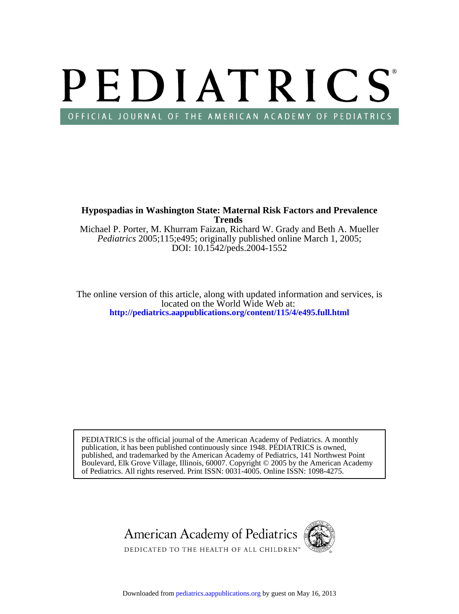# PEDIATRICS OFFICIAL JOURNAL OF THE AMERICAN ACADEMY OF PEDIATRICS

**Trends Hypospadias in Washington State: Maternal Risk Factors and Prevalence**

DOI: 10.1542/peds.2004-1552 *Pediatrics* 2005;115;e495; originally published online March 1, 2005; Michael P. Porter, M. Khurram Faizan, Richard W. Grady and Beth A. Mueller

**<http://pediatrics.aappublications.org/content/115/4/e495.full.html>** located on the World Wide Web at: The online version of this article, along with updated information and services, is

of Pediatrics. All rights reserved. Print ISSN: 0031-4005. Online ISSN: 1098-4275. Boulevard, Elk Grove Village, Illinois, 60007. Copyright © 2005 by the American Academy published, and trademarked by the American Academy of Pediatrics, 141 Northwest Point publication, it has been published continuously since 1948. PEDIATRICS is owned, PEDIATRICS is the official journal of the American Academy of Pediatrics. A monthly

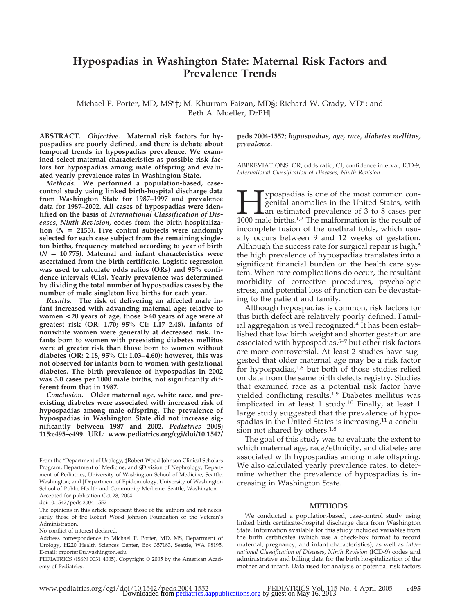## **Hypospadias in Washington State: Maternal Risk Factors and Prevalence Trends**

Michael P. Porter, MD, MS\*‡; M. Khurram Faizan, MD§; Richard W. Grady, MD\*; and Beth A. Mueller, DrPH

**ABSTRACT.** *Objective.* **Maternal risk factors for hypospadias are poorly defined, and there is debate about temporal trends in hypospadias prevalence. We examined select maternal characteristics as possible risk factors for hypospadias among male offspring and evaluated yearly prevalence rates in Washington State.**

*Methods.* **We performed a population-based, casecontrol study using linked birth-hospital discharge data from Washington State for 1987–1997 and prevalence data for 1987–2002. All cases of hypospadias were identified on the basis of** *International Classification of Diseases, Ninth Revision***, codes from the birth hospitaliza** $t$  tion ( $N = 2155$ ). Five control subjects were randomly **selected for each case subject from the remaining singleton births, frequency matched according to year of birth**  $(N = 10775)$ . Maternal and infant characteristics were **ascertained from the birth certificate. Logistic regression was used to calculate odds ratios (ORs) and 95% confidence intervals (CIs). Yearly prevalence was determined by dividing the total number of hypospadias cases by the number of male singleton live births for each year.**

*Results.* **The risk of delivering an affected male infant increased with advancing maternal age; relative to women <20 years of age, those >40 years of age were at greatest risk (OR: 1.70; 95% CI: 1.17–2.48). Infants of nonwhite women were generally at decreased risk. Infants born to women with preexisting diabetes mellitus were at greater risk than those born to women without diabetes (OR: 2.18; 95% CI: 1.03– 4.60); however, this was not observed for infants born to women with gestational diabetes. The birth prevalence of hypospadias in 2002 was 5.0 cases per 1000 male births, not significantly different from that in 1987.**

*Conclusion.* **Older maternal age, white race, and preexisting diabetes were associated with increased risk of hypospadias among male offspring. The prevalence of hypospadias in Washington State did not increase significantly between 1987 and 2002.** *Pediatrics* **2005; 115:e495–e499. URL: www.pediatrics.org/cgi/doi/10.1542/**

From the \*Department of Urology, ‡Robert Wood Johnson Clinical Scholars Program, Department of Medicine, and §Division of Nephrology, Department of Pediatrics, University of Washington School of Medicine, Seattle, Washington; and ||Department of Epidemiology, University of Washington School of Public Health and Community Medicine, Seattle, Washington. Accepted for publication Oct 28, 2004.

doi:10.1542/peds.2004-1552

The opinions in this article represent those of the authors and not necessarily those of the Robert Wood Johnson Foundation or the Veteran's Administration.

No conflict of interest declared.

Address correspondence to Michael P. Porter, MD, MS, Department of Urology, H220 Health Sciences Center, Box 357183, Seattle, WA 98195. E-mail: mporter@u.washington.edu

PEDIATRICS (ISSN 0031 4005). Copyright © 2005 by the American Academy of Pediatrics.

**peds.2004-1552;** *hypospadias, age, race, diabetes mellitus, prevalence.*

ABBREVIATIONS. OR, odds ratio; CI, confidence interval; ICD-9, *International Classification of Diseases, Ninth Revision*.

**Hypospadias is one of the most common congenital anomalies in the United States, with an estimated prevalence of 3 to 8 cases per 1000 male births.<sup>1,2</sup> The malformation is the result of** genital anomalies in the United States, with an estimated prevalence of 3 to 8 cases per 1000 male births.1,2 The malformation is the result of incomplete fusion of the urethral folds, which usually occurs between 9 and 12 weeks of gestation. Although the success rate for surgical repair is high, $3$ the high prevalence of hypospadias translates into a significant financial burden on the health care system. When rare complications do occur, the resultant morbidity of corrective procedures, psychologic stress, and potential loss of function can be devastating to the patient and family.

Although hypospadias is common, risk factors for this birth defect are relatively poorly defined. Familial aggregation is well recognized.<sup>4</sup> It has been established that low birth weight and shorter gestation are associated with hypospadias, $5-7$  but other risk factors are more controversial. At least 2 studies have suggested that older maternal age may be a risk factor for hypospadias, $1,8$  but both of those studies relied on data from the same birth defects registry. Studies that examined race as a potential risk factor have yielded conflicting results.1,9 Diabetes mellitus was implicated in at least 1 study.<sup>10</sup> Finally, at least 1 large study suggested that the prevalence of hypospadias in the United States is increasing, $11$  a conclusion not shared by others.<sup>1,8</sup>

The goal of this study was to evaluate the extent to which maternal age, race/ethnicity, and diabetes are associated with hypospadias among male offspring. We also calculated yearly prevalence rates, to determine whether the prevalence of hypospadias is increasing in Washington State.

#### **METHODS**

We conducted a population-based, case-control study using linked birth certificate-hospital discharge data from Washington State. Information available for this study included variables from the birth certificates (which use a check-box format to record maternal, pregnancy, and infant characteristics), as well as *International Classification of Diseases, Ninth Revision* (ICD-9) codes and administrative and billing data for the birth hospitalization of the mother and infant. Data used for analysis of potential risk factors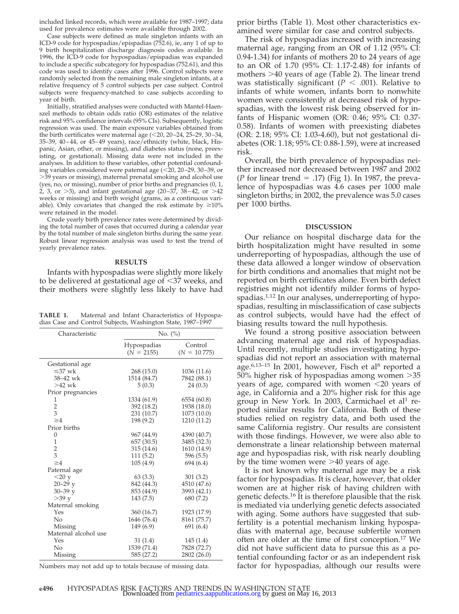included linked records, which were available for 1987–1997; data used for prevalence estimates were available through 2002.

Case subjects were defined as male singleton infants with an ICD-9 code for hypospadias/epispadias (752.6), ie, any 1 of up to 9 birth hospitalization discharge diagnosis codes available. In 1996, the ICD-9 code for hypospadias/epispadias was expanded to include a specific subcategory for hypospadias (752.61), and this code was used to identify cases after 1996. Control subjects were randomly selected from the remaining male singleton infants, at a relative frequency of 5 control subjects per case subject. Control subjects were frequency-matched to case subjects according to year of birth.

Initially, stratified analyses were conducted with Mantel-Haenszel methods to obtain odds ratio (OR) estimates of the relative risk and 95% confidence intervals (95% CIs). Subsequently, logistic regression was used. The main exposure variables obtained from the birth certificates were maternal age  $(<20, 20-24, 25-29, 30-34,$ 35–39, 40 – 44, or 45– 49 years), race/ethnicity (white, black, Hispanic, Asian, other, or missing), and diabetes status (none, preexisting, or gestational). Missing data were not included in the analyses. In addition to these variables, other potential confounding variables considered were paternal age (<20, 20–29, 30–39, or -39 years or missing), maternal prenatal smoking and alcohol use (yes, no, or missing), number of prior births and pregnancies (0, 1, 2, 3, or -3), and infant gestational age (20 –37, 38 – 42, or -42 weeks or missing) and birth weight (grams, as a continuous variable). Only covariates that changed the risk estimate by  $\geq 10\%$ were retained in the model.

Crude yearly birth prevalence rates were determined by dividing the total number of cases that occurred during a calendar year by the total number of male singleton births during the same year. Robust linear regression analysis was used to test the trend of yearly prevalence rates.

#### **RESULTS**

Infants with hypospadias were slightly more likely to be delivered at gestational age of  $\leq$ 37 weeks, and their mothers were slightly less likely to have had

**TABLE 1.** Maternal and Infant Characteristics of Hypospadias Case and Control Subjects, Washington State, 1987–1997

| Characteristic       | No. $(\%)$                  |                          |
|----------------------|-----------------------------|--------------------------|
|                      | Hypospadias<br>$(N = 2155)$ | Control<br>$(N = 10775)$ |
| Gestational age      |                             |                          |
| $\leq 37$ wk         | 268(15.0)                   | 1036 (11.6)              |
| 38-42 wk             | 1514 (84.7)                 | 7842 (88.1)              |
| $>42$ wk             | 5(0.3)                      | 24(0.3)                  |
| Prior pregnancies    |                             |                          |
| 1                    | 1334 (61.9)                 | 6554 (60.8)              |
| $\overline{2}$       | 392 (18.2)                  | 1938 (18.0)              |
| 3                    | 231 (10.7)                  | 1073 (10.0)              |
| $\geq 4$             | 198 (9.2)                   | 1210 (11.2)              |
| Prior births         |                             |                          |
| $\Omega$             | 967 (44.9)                  | 4390 (40.7)              |
| $\mathbf{1}$         | 657(30.5)                   | 3485 (32.3)              |
| $\frac{2}{3}$        | 315 (14.6)                  | 1610 (14.9)              |
|                      | 111(5.2)                    | 596 (5.5)                |
| $\geq 4$             | 105(4.9)                    | 694 (6.4)                |
| Paternal age         |                             |                          |
| $<$ 20 y             | 63(3.3)                     | 301(3.2)                 |
| $20 - 29y$           | 842 (44.3)                  | 4510 (47.6)              |
| $30 - 39$ v          | 853 (44.9)                  | 3993 (42.1)              |
| $>39$ y              | 143(7.5)                    | 680 (7.2)                |
| Maternal smoking     |                             |                          |
| Yes                  | 360 (16.7)                  | 1923 (17.9)              |
| No                   | 1646 (76.4)                 | 8161 (75.7)              |
| Missing              | 149 (6.9)                   | 691(6.4)                 |
| Maternal alcohol use |                             |                          |
| Yes                  | 31(1.4)                     | 145(1.4)                 |
| No                   | 1539 (71.4)                 | 7828 (72.7)              |
| Missing              | 585 (27.2)                  | 2802 (26.0)              |

Numbers may not add up to totals because of missing data.

prior births (Table 1). Most other characteristics examined were similar for case and control subjects.

The risk of hypospadias increased with increasing maternal age, ranging from an OR of 1.12 (95% CI: 0.94-1.34) for infants of mothers 20 to 24 years of age to an OR of 1.70 (95% CI: 1.17-2.48) for infants of mothers -40 years of age (Table 2). The linear trend was statistically significant ( $P < .001$ ). Relative to infants of white women, infants born to nonwhite women were consistently at decreased risk of hypospadias, with the lowest risk being observed for infants of Hispanic women (OR: 0.46; 95% CI: 0.37- 0.58). Infants of women with preexisting diabetes (OR: 2.18; 95% CI: 1.03-4.60), but not gestational diabetes (OR: 1.18; 95% CI: 0.88-1.59), were at increased risk.

Overall, the birth prevalence of hypospadias neither increased nor decreased between 1987 and 2002 (*P* for linear trend  $=$  .17) (Fig 1). In 1987, the prevalence of hypospadias was 4.6 cases per 1000 male singleton births; in 2002, the prevalence was 5.0 cases per 1000 births.

#### **DISCUSSION**

Our reliance on hospital discharge data for the birth hospitalization might have resulted in some underreporting of hypospadias, although the use of these data allowed a longer window of observation for birth conditions and anomalies that might not be reported on birth certificates alone. Even birth defect registries might not identify milder forms of hypospadias.<sup>1,12</sup> In our analyses, underreporting of hypospadias, resulting in misclassification of case subjects as control subjects, would have had the effect of biasing results toward the null hypothesis.

We found a strong positive association between advancing maternal age and risk of hypospadias. Until recently, multiple studies investigating hypospadias did not report an association with maternal age. $6,13-15$  In 2001, however, Fisch et al<sup>8</sup> reported a 50% higher risk of hypospadias among women >35 years of age, compared with women  $\leq 20$  years of age, in California and a 20% higher risk for this age group in New York. In 2003, Carmichael et al<sup>1</sup> reported similar results for California. Both of these studies relied on registry data, and both used the same California registry. Our results are consistent with those findings. However, we were also able to demonstrate a linear relationship between maternal age and hypospadias risk, with risk nearly doubling by the time women were >40 years of age.

It is not known why maternal age may be a risk factor for hypospadias. It is clear, however, that older women are at higher risk of having children with genetic defects.16 It is therefore plausible that the risk is mediated via underlying genetic defects associated with aging. Some authors have suggested that subfertility is a potential mechanism linking hypospadias with maternal age, because subfertile women often are older at the time of first conception.17 We did not have sufficient data to pursue this as a potential confounding factor or as an independent risk factor for hypospadias, although our results were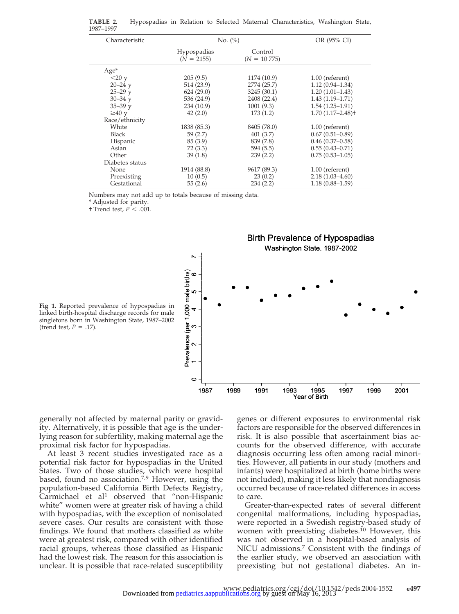| Characteristic  | No. $(\% )$                 |                          | OR (95% CI)                      |
|-----------------|-----------------------------|--------------------------|----------------------------------|
|                 | Hypospadias<br>$(N = 2155)$ | Control<br>$(N = 10775)$ |                                  |
| $Age*$          |                             |                          |                                  |
| $<$ 20 y        | 205(9.5)                    | 1174 (10.9)              | $1.00$ (referent)                |
| $20 - 24$ y     | 514 (23.9)                  | 2774 (25.7)              | $1.12(0.94 - 1.34)$              |
| $25 - 29$ y     | 624(29.0)                   | 3245 (30.1)              | $1.20(1.01-1.43)$                |
| $30 - 34$ y     | 536 (24.9)                  | 2408 (22.4)              | $1.43(1.19 - 1.71)$              |
| $35 - 39$ y     | 234 (10.9)                  | 1001(9.3)                | $1.54(1.25-1.91)$                |
| $\geq 40$ y     | 42(2.0)                     | 173(1.2)                 | $1.70(1.17 - 2.48)$ <sup>+</sup> |
| Race/ethnicity  |                             |                          |                                  |
| White           | 1838 (85.3)                 | 8405 (78.0)              | $1.00$ (referent)                |
| <b>Black</b>    | 59(2.7)                     | 401(3.7)                 | $0.67(0.51 - 0.89)$              |
| Hispanic        | 85(3.9)                     | 839 (7.8)                | $0.46(0.37-0.58)$                |
| Asian           | 72(3.3)                     | 594 (5.5)                | $0.55(0.43 - 0.71)$              |
| Other           | 39(1.8)                     | 239(2.2)                 | $0.75(0.53 - 1.05)$              |
| Diabetes status |                             |                          |                                  |
| <b>None</b>     | 1914 (88.8)                 | 9617 (89.3)              | $1.00$ (referent)                |
| Preexisting     | 10(0.5)                     | 23(0.2)                  | $2.18(1.03 - 4.60)$              |
| Gestational     | 55(2.6)                     | 234(2.2)                 | $1.18(0.88 - 1.59)$              |

**TABLE 2.** Hypospadias in Relation to Selected Maternal Characteristics, Washington State, 1987–1997

Numbers may not add up to totals because of missing data.

\* Adjusted for parity.

† Trend test,  $P < .001$ .



**Fig 1.** Reported prevalence of hypospadias in linked birth-hospital discharge records for male singletons born in Washington State, 1987–2002 (trend test,  $P = .17$ ).

generally not affected by maternal parity or gravidity. Alternatively, it is possible that age is the underlying reason for subfertility, making maternal age the proximal risk factor for hypospadias.

At least 3 recent studies investigated race as a potential risk factor for hypospadias in the United States. Two of those studies, which were hospital based, found no association.<sup>7,9</sup> However, using the population-based California Birth Defects Registry, Carmichael et al<sup>1</sup> observed that "non-Hispanic white" women were at greater risk of having a child with hypospadias, with the exception of nonisolated severe cases. Our results are consistent with those findings. We found that mothers classified as white were at greatest risk, compared with other identified racial groups, whereas those classified as Hispanic had the lowest risk. The reason for this association is unclear. It is possible that race-related susceptibility

genes or different exposures to environmental risk factors are responsible for the observed differences in risk. It is also possible that ascertainment bias accounts for the observed difference, with accurate diagnosis occurring less often among racial minorities. However, all patients in our study (mothers and infants) were hospitalized at birth (home births were not included), making it less likely that nondiagnosis occurred because of race-related differences in access to care.

Greater-than-expected rates of several different congenital malformations, including hypospadias, were reported in a Swedish registry-based study of women with preexisting diabetes.<sup>10</sup> However, this was not observed in a hospital-based analysis of NICU admissions.7 Consistent with the findings of the earlier study, we observed an association with preexisting but not gestational diabetes. An in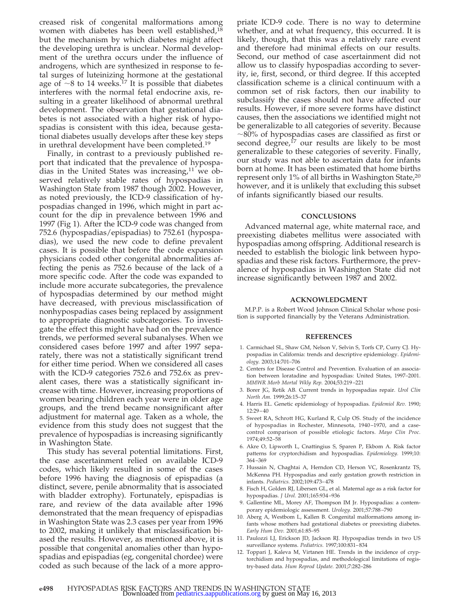creased risk of congenital malformations among women with diabetes has been well established,18 but the mechanism by which diabetes might affect the developing urethra is unclear. Normal development of the urethra occurs under the influence of androgens, which are synthesized in response to fetal surges of luteinizing hormone at the gestational age of  $\sim$ 8 to 14 weeks.<sup>17</sup> It is possible that diabetes interferes with the normal fetal endocrine axis, resulting in a greater likelihood of abnormal urethral development. The observation that gestational diabetes is not associated with a higher risk of hypospadias is consistent with this idea, because gestational diabetes usually develops after these key steps in urethral development have been completed.19

Finally, in contrast to a previously published report that indicated that the prevalence of hypospadias in the United States was increasing, $11$  we observed relatively stable rates of hypospadias in Washington State from 1987 though 2002. However, as noted previously, the ICD-9 classification of hypospadias changed in 1996, which might in part account for the dip in prevalence between 1996 and 1997 (Fig 1). After the ICD-9 code was changed from 752.6 (hypospadias/epispadias) to 752.61 (hypospadias), we used the new code to define prevalent cases. It is possible that before the code expansion physicians coded other congenital abnormalities affecting the penis as 752.6 because of the lack of a more specific code. After the code was expanded to include more accurate subcategories, the prevalence of hypospadias determined by our method might have decreased, with previous misclassification of nonhypospadias cases being replaced by assignment to appropriate diagnostic subcategories. To investigate the effect this might have had on the prevalence trends, we performed several subanalyses. When we considered cases before 1997 and after 1997 separately, there was not a statistically significant trend for either time period. When we considered all cases with the ICD-9 categories 752.6 and 752.6x as prevalent cases, there was a statistically significant increase with time. However, increasing proportions of women bearing children each year were in older age groups, and the trend became nonsignificant after adjustment for maternal age. Taken as a whole, the evidence from this study does not suggest that the prevalence of hypospadias is increasing significantly in Washington State.

This study has several potential limitations. First, the case ascertainment relied on available ICD-9 codes, which likely resulted in some of the cases before 1996 having the diagnosis of epispadias (a distinct, severe, penile abnormality that is associated with bladder extrophy). Fortunately, epispadias is rare, and review of the data available after 1996 demonstrated that the mean frequency of epispadias in Washington State was 2.3 cases per year from 1996 to 2002, making it unlikely that misclassification biased the results. However, as mentioned above, it is possible that congenital anomalies other than hypospadias and epispadias (eg, congenital chordee) were coded as such because of the lack of a more appropriate ICD-9 code. There is no way to determine whether, and at what frequency, this occurred. It is likely, though, that this was a relatively rare event and therefore had minimal effects on our results. Second, our method of case ascertainment did not allow us to classify hypospadias according to severity, ie, first, second, or third degree. If this accepted classification scheme is a clinical continuum with a common set of risk factors, then our inability to subclassify the cases should not have affected our results. However, if more severe forms have distinct causes, then the associations we identified might not be generalizable to all categories of severity. Because  $\sim$ 80% of hypospadias cases are classified as first or second degree,<sup>17</sup> our results are likely to be most generalizable to these categories of severity. Finally, our study was not able to ascertain data for infants born at home. It has been estimated that home births represent only 1% of all births in Washington State,<sup>20</sup> however, and it is unlikely that excluding this subset of infants significantly biased our results.

#### **CONCLUSIONS**

Advanced maternal age, white maternal race, and preexisting diabetes mellitus were associated with hypospadias among offspring. Additional research is needed to establish the biologic link between hypospadias and these risk factors. Furthermore, the prevalence of hypospadias in Washington State did not increase significantly between 1987 and 2002.

#### **ACKNOWLEDGMENT**

M.P.P. is a Robert Wood Johnson Clinical Scholar whose position is supported financially by the Veterans Administration.

#### **REFERENCES**

- 1. Carmichael SL, Shaw GM, Nelson V, Selvin S, Torfs CP, Curry CJ. Hypospadias in California: trends and descriptive epidemiology. *Epidemiology.* 2003;14:701–706
- 2. Centers for Disease Control and Prevention. Evaluation of an association between loratadine and hypospadias: United States, 1997–2001. *MMWR Morb Mortal Wkly Rep.* 2004;53:219 –221
- 3. Borer JG, Retik AB. Current trends in hypospadias repair. *Urol Clin North Am.* 1999;26:15–37
- 4. Harris EL. Genetic epidemiology of hypospadias. *Epidemiol Rev.* 1990; 12:29 – 40
- 5. Sweet RA, Schrott HG, Kurland R, Culp OS. Study of the incidence of hypospadias in Rochester, Minnesota, 1940 –1970, and a casecontrol comparison of possible etiologic factors. *Mayo Clin Proc.* 1974;49:52–58
- 6. Akre O, Lipworth L, Cnattingius S, Sparen P, Ekbom A. Risk factor patterns for cryptorchidism and hypospadias. *Epidemiology.* 1999;10: 364 –369
- 7. Hussain N, Chaghtai A, Herndon CD, Herson VC, Rosenkrantz TS, McKenna PH. Hypospadias and early gestation growth restriction in infants. *Pediatrics.* 2002;109:473– 478
- 8. Fisch H, Golden RJ, Libersen GL, et al. Maternal age as a risk factor for hypospadias. *J Urol.* 2001;165:934 –936
- 9. Gallentine ML, Morey AF, Thompson IM Jr. Hypospadias: a contemporary epidemiologic assessment. *Urology.* 2001;57:788 –790
- 10. Aberg A, Westbom L, Kallen B. Congenital malformations among infants whose mothers had gestational diabetes or preexisting diabetes. *Early Hum Dev.* 2001;61:85–95
- 11. Paulozzi LJ, Erickson JD, Jackson RJ. Hypospadias trends in two US surveillance systems. *Pediatrics.* 1997;100:831– 834
- 12. Toppari J, Kaleva M, Virtanen HE. Trends in the incidence of cryptorchidism and hypospadias, and methodological limitations of registry-based data. *Hum Reprod Update.* 2001;7:282–286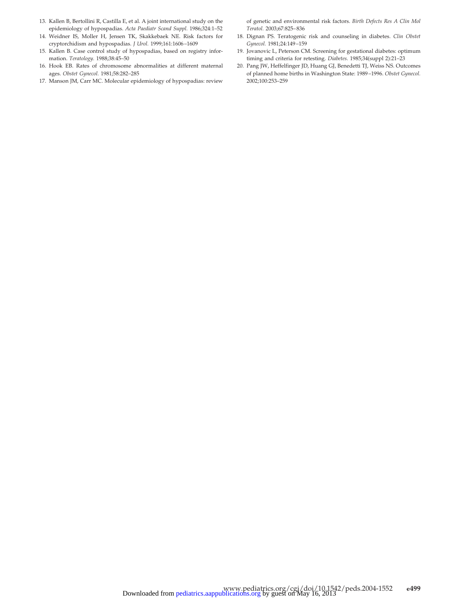- 13. Kallen B, Bertollini R, Castilla E, et al. A joint international study on the epidemiology of hypospadias. *Acta Paediatr Scand Suppl.* 1986;324:1–52
- 14. Weidner IS, Moller H, Jensen TK, Skakkebaek NE. Risk factors for cryptorchidism and hypospadias. *J Urol.* 1999;161:1606 –1609
- 15. Kallen B. Case control study of hypospadias, based on registry information. *Teratology.* 1988;38:45–50
- 16. Hook EB. Rates of chromosome abnormalities at different maternal ages. *Obstet Gynecol.* 1981;58:282–285
- 17. Manson JM, Carr MC. Molecular epidemiology of hypospadias: review

of genetic and environmental risk factors. *Birth Defects Res A Clin Mol Teratol.* 2003;67:825– 836

- 18. Dignan PS. Teratogenic risk and counseling in diabetes. *Clin Obstet Gynecol.* 1981;24:149 –159
- 19. Jovanovic L, Peterson CM. Screening for gestational diabetes: optimum timing and criteria for retesting. *Diabetes.* 1985;34(suppl 2):21–23
- 20. Pang JW, Heffelfinger JD, Huang GJ, Benedetti TJ, Weiss NS. Outcomes of planned home births in Washington State: 1989 –1996. *Obstet Gynecol.* 2002;100:253–259